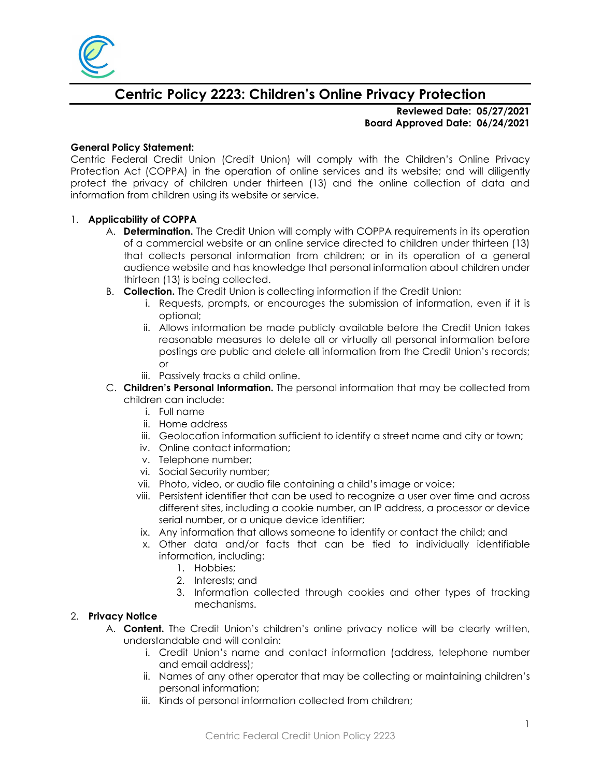

# **Centric Policy 2223: Children's Online Privacy Protection**

**Reviewed Date: 05/27/2021 Board Approved Date: 06/24/2021**

### **General Policy Statement:**

Centric Federal Credit Union (Credit Union) will comply with the Children's Online Privacy Protection Act (COPPA) in the operation of online services and its website; and will diligently protect the privacy of children under thirteen (13) and the online collection of data and information from children using its website or service.

### 1. **Applicability of COPPA**

- A. **Determination.** The Credit Union will comply with COPPA requirements in its operation of a commercial website or an online service directed to children under thirteen (13) that collects personal information from children; or in its operation of a general audience website and has knowledge that personal information about children under thirteen (13) is being collected.
- B. **Collection.** The Credit Union is collecting information if the Credit Union:
	- i. Requests, prompts, or encourages the submission of information, even if it is optional;
	- ii. Allows information be made publicly available before the Credit Union takes reasonable measures to delete all or virtually all personal information before postings are public and delete all information from the Credit Union's records; or
	- iii. Passively tracks a child online.
- C. **Children's Personal Information.** The personal information that may be collected from children can include:
	- i. Full name
	- ii. Home address
	- iii. Geolocation information sufficient to identify a street name and city or town;
	- iv. Online contact information;
	- v. Telephone number;
	- vi. Social Security number;
	- vii. Photo, video, or audio file containing a child's image or voice;
	- viii. Persistent identifier that can be used to recognize a user over time and across different sites, including a cookie number, an IP address, a processor or device serial number, or a unique device identifier;
	- ix. Any information that allows someone to identify or contact the child; and
	- x. Other data and/or facts that can be tied to individually identifiable information, including:
		- 1. Hobbies;
		- 2. Interests; and
		- 3. Information collected through cookies and other types of tracking mechanisms.

## 2. **Privacy Notice**

- A. **Content.** The Credit Union's children's online privacy notice will be clearly written, understandable and will contain:
	- i. Credit Union's name and contact information (address, telephone number and email address);
	- ii. Names of any other operator that may be collecting or maintaining children's personal information;
	- iii. Kinds of personal information collected from children;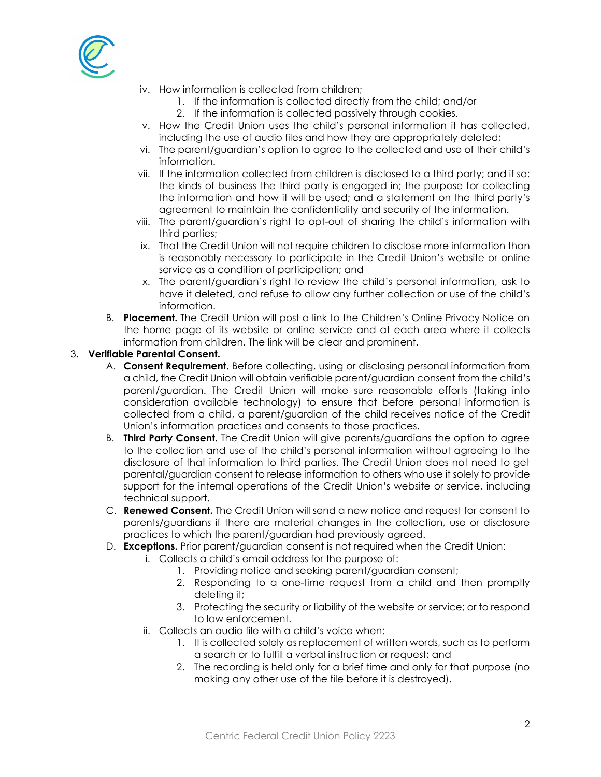

- iv. How information is collected from children;
	- 1. If the information is collected directly from the child; and/or
	- 2. If the information is collected passively through cookies.
- v. How the Credit Union uses the child's personal information it has collected, including the use of audio files and how they are appropriately deleted;
- vi. The parent/guardian's option to agree to the collected and use of their child's information.
- vii. If the information collected from children is disclosed to a third party; and if so: the kinds of business the third party is engaged in; the purpose for collecting the information and how it will be used; and a statement on the third party's agreement to maintain the confidentiality and security of the information.
- viii. The parent/guardian's right to opt-out of sharing the child's information with third parties;
- ix. That the Credit Union will not require children to disclose more information than is reasonably necessary to participate in the Credit Union's website or online service as a condition of participation; and
- x. The parent/guardian's right to review the child's personal information, ask to have it deleted, and refuse to allow any further collection or use of the child's information.
- B. **Placement.** The Credit Union will post a link to the Children's Online Privacy Notice on the home page of its website or online service and at each area where it collects information from children. The link will be clear and prominent.

# 3. **Verifiable Parental Consent.**

- A. **Consent Requirement.** Before collecting, using or disclosing personal information from a child, the Credit Union will obtain verifiable parent/guardian consent from the child's parent/guardian. The Credit Union will make sure reasonable efforts (taking into consideration available technology) to ensure that before personal information is collected from a child, a parent/guardian of the child receives notice of the Credit Union's information practices and consents to those practices.
- B. **Third Party Consent.** The Credit Union will give parents/guardians the option to agree to the collection and use of the child's personal information without agreeing to the disclosure of that information to third parties. The Credit Union does not need to get parental/guardian consent to release information to others who use it solely to provide support for the internal operations of the Credit Union's website or service, including technical support.
- C. **Renewed Consent.** The Credit Union will send a new notice and request for consent to parents/guardians if there are material changes in the collection, use or disclosure practices to which the parent/guardian had previously agreed.
- D. **Exceptions.** Prior parent/guardian consent is not required when the Credit Union:
	- i. Collects a child's email address for the purpose of:
		- 1. Providing notice and seeking parent/guardian consent;
		- 2. Responding to a one-time request from a child and then promptly deleting it;
		- 3. Protecting the security or liability of the website or service; or to respond to law enforcement.
	- ii. Collects an audio file with a child's voice when:
		- 1. It is collected solely as replacement of written words, such as to perform a search or to fulfill a verbal instruction or request; and
		- 2. The recording is held only for a brief time and only for that purpose (no making any other use of the file before it is destroyed).